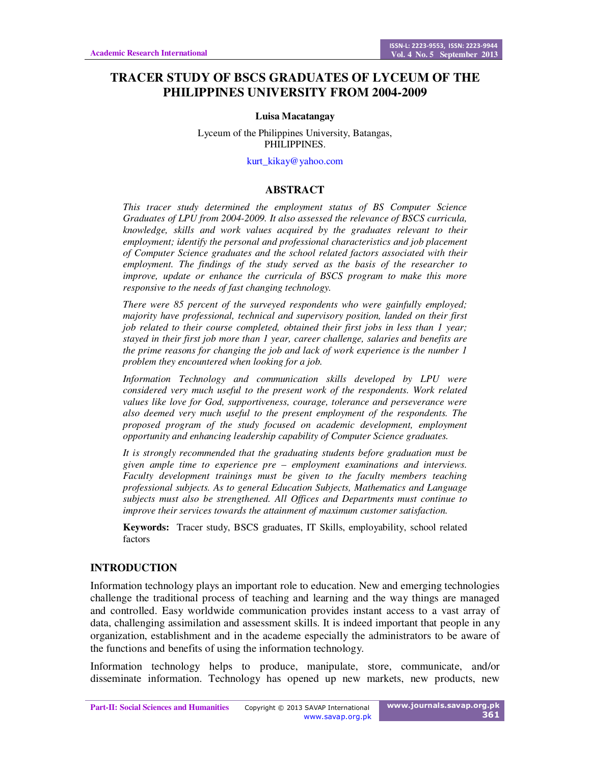# **TRACER STUDY OF BSCS GRADUATES OF LYCEUM OF THE PHILIPPINES UNIVERSITY FROM 2004-2009**

#### **Luisa Macatangay**

Lyceum of the Philippines University, Batangas, PHILIPPINES.

kurt\_kikay@yahoo.com

#### **ABSTRACT**

*This tracer study determined the employment status of BS Computer Science Graduates of LPU from 2004-2009. It also assessed the relevance of BSCS curricula, knowledge, skills and work values acquired by the graduates relevant to their employment; identify the personal and professional characteristics and job placement of Computer Science graduates and the school related factors associated with their employment. The findings of the study served as the basis of the researcher to improve, update or enhance the curricula of BSCS program to make this more responsive to the needs of fast changing technology.* 

*There were 85 percent of the surveyed respondents who were gainfully employed; majority have professional, technical and supervisory position, landed on their first job related to their course completed, obtained their first jobs in less than 1 year; stayed in their first job more than 1 year, career challenge, salaries and benefits are the prime reasons for changing the job and lack of work experience is the number 1 problem they encountered when looking for a job.* 

*Information Technology and communication skills developed by LPU were considered very much useful to the present work of the respondents. Work related values like love for God, supportiveness, courage, tolerance and perseverance were also deemed very much useful to the present employment of the respondents. The proposed program of the study focused on academic development, employment opportunity and enhancing leadership capability of Computer Science graduates.* 

*It is strongly recommended that the graduating students before graduation must be given ample time to experience pre – employment examinations and interviews. Faculty development trainings must be given to the faculty members teaching professional subjects. As to general Education Subjects, Mathematics and Language subjects must also be strengthened. All Offices and Departments must continue to improve their services towards the attainment of maximum customer satisfaction.* 

**Keywords:** Tracer study, BSCS graduates, IT Skills, employability, school related factors

#### **INTRODUCTION**

Information technology plays an important role to education. New and emerging technologies challenge the traditional process of teaching and learning and the way things are managed and controlled. Easy worldwide communication provides instant access to a vast array of data, challenging assimilation and assessment skills. It is indeed important that people in any organization, establishment and in the academe especially the administrators to be aware of the functions and benefits of using the information technology.

Information technology helps to produce, manipulate, store, communicate, and/or disseminate information. Technology has opened up new markets, new products, new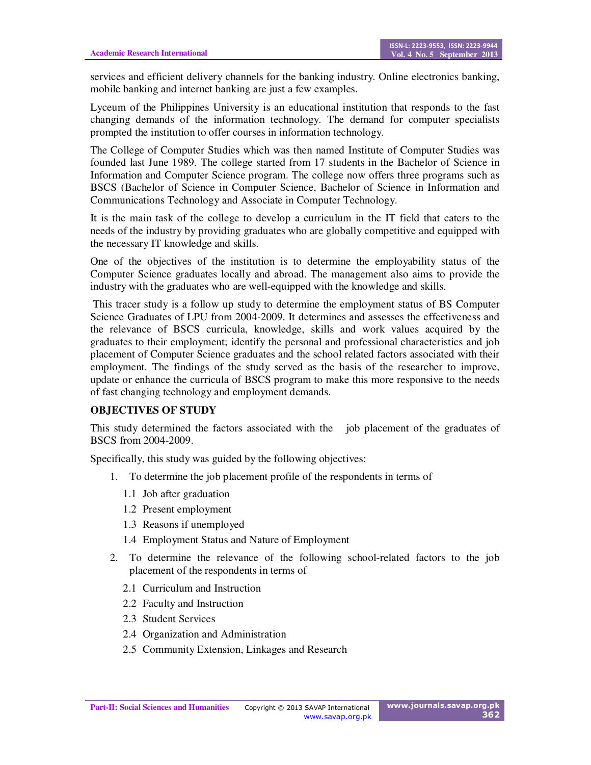services and efficient delivery channels for the banking industry. Online electronics banking, mobile banking and internet banking are just a few examples.

Lyceum of the Philippines University is an educational institution that responds to the fast changing demands of the information technology. The demand for computer specialists prompted the institution to offer courses in information technology.

The College of Computer Studies which was then named Institute of Computer Studies was founded last June 1989. The college started from 17 students in the Bachelor of Science in Information and Computer Science program. The college now offers three programs such as BSCS (Bachelor of Science in Computer Science, Bachelor of Science in Information and Communications Technology and Associate in Computer Technology.

It is the main task of the college to develop a curriculum in the IT field that caters to the needs of the industry by providing graduates who are globally competitive and equipped with the necessary IT knowledge and skills.

One of the objectives of the institution is to determine the employability status of the Computer Science graduates locally and abroad. The management also aims to provide the industry with the graduates who are well-equipped with the knowledge and skills.

 This tracer study is a follow up study to determine the employment status of BS Computer Science Graduates of LPU from 2004-2009. It determines and assesses the effectiveness and the relevance of BSCS curricula, knowledge, skills and work values acquired by the graduates to their employment; identify the personal and professional characteristics and job placement of Computer Science graduates and the school related factors associated with their employment. The findings of the study served as the basis of the researcher to improve, update or enhance the curricula of BSCS program to make this more responsive to the needs of fast changing technology and employment demands.

### **OBJECTIVES OF STUDY**

This study determined the factors associated with the job placement of the graduates of BSCS from 2004-2009.

Specifically, this study was guided by the following objectives:

- 1. To determine the job placement profile of the respondents in terms of
	- 1.1 Job after graduation
	- 1.2 Present employment
	- 1.3 Reasons if unemployed
	- 1.4 Employment Status and Nature of Employment
- 2. To determine the relevance of the following school-related factors to the job placement of the respondents in terms of
	- 2.1 Curriculum and Instruction
	- 2.2 Faculty and Instruction
	- 2.3 Student Services
	- 2.4 Organization and Administration
	- 2.5 Community Extension, Linkages and Research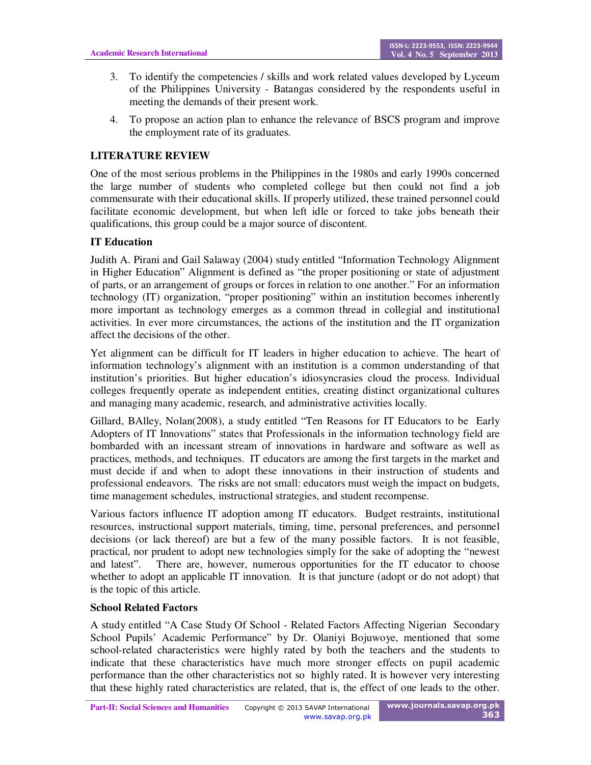- 3. To identify the competencies / skills and work related values developed by Lyceum of the Philippines University - Batangas considered by the respondents useful in meeting the demands of their present work.
- 4. To propose an action plan to enhance the relevance of BSCS program and improve the employment rate of its graduates.

## **LITERATURE REVIEW**

One of the most serious problems in the Philippines in the 1980s and early 1990s concerned the large number of students who completed college but then could not find a job commensurate with their educational skills. If properly utilized, these trained personnel could facilitate economic development, but when left idle or forced to take jobs beneath their qualifications, this group could be a major source of discontent.

## **IT Education**

Judith A. Pirani and Gail Salaway (2004) study entitled "Information Technology Alignment in Higher Education" Alignment is defined as "the proper positioning or state of adjustment of parts, or an arrangement of groups or forces in relation to one another." For an information technology (IT) organization, "proper positioning" within an institution becomes inherently more important as technology emerges as a common thread in collegial and institutional activities. In ever more circumstances, the actions of the institution and the IT organization affect the decisions of the other.

Yet alignment can be difficult for IT leaders in higher education to achieve. The heart of information technology's alignment with an institution is a common understanding of that institution's priorities. But higher education's idiosyncrasies cloud the process. Individual colleges frequently operate as independent entities, creating distinct organizational cultures and managing many academic, research, and administrative activities locally.

Gillard, BAlley, Nolan(2008), a study entitled "Ten Reasons for IT Educators to be Early Adopters of IT Innovations" states that Professionals in the information technology field are bombarded with an incessant stream of innovations in hardware and software as well as practices, methods, and techniques. IT educators are among the first targets in the market and must decide if and when to adopt these innovations in their instruction of students and professional endeavors. The risks are not small: educators must weigh the impact on budgets, time management schedules, instructional strategies, and student recompense.

Various factors influence IT adoption among IT educators. Budget restraints, institutional resources, instructional support materials, timing, time, personal preferences, and personnel decisions (or lack thereof) are but a few of the many possible factors. It is not feasible, practical, nor prudent to adopt new technologies simply for the sake of adopting the "newest and latest". There are, however, numerous opportunities for the IT educator to choose whether to adopt an applicable IT innovation. It is that juncture (adopt or do not adopt) that is the topic of this article.

### **School Related Factors**

A study entitled "A Case Study Of School - Related Factors Affecting Nigerian Secondary School Pupils' Academic Performance" by Dr. Olaniyi Bojuwoye, mentioned that some school-related characteristics were highly rated by both the teachers and the students to indicate that these characteristics have much more stronger effects on pupil academic performance than the other characteristics not so highly rated. It is however very interesting that these highly rated characteristics are related, that is, the effect of one leads to the other.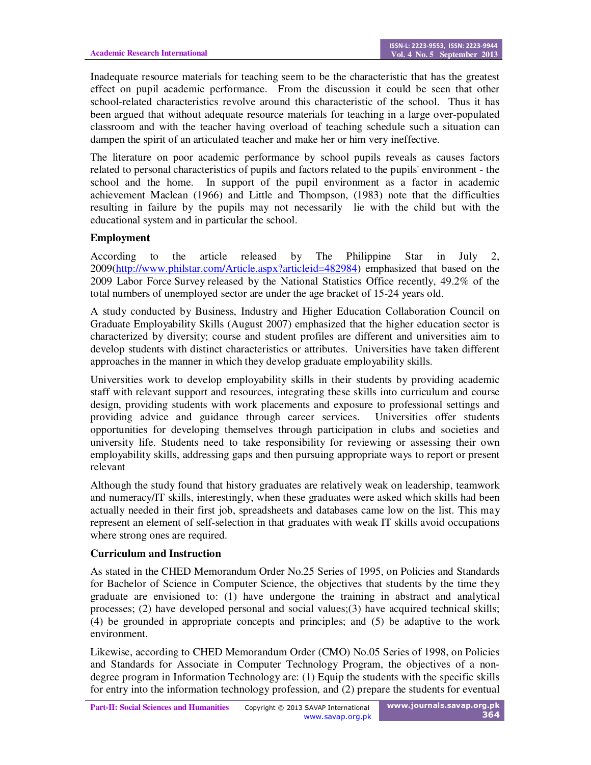Inadequate resource materials for teaching seem to be the characteristic that has the greatest effect on pupil academic performance. From the discussion it could be seen that other school-related characteristics revolve around this characteristic of the school. Thus it has been argued that without adequate resource materials for teaching in a large over-populated classroom and with the teacher having overload of teaching schedule such a situation can dampen the spirit of an articulated teacher and make her or him very ineffective.

The literature on poor academic performance by school pupils reveals as causes factors related to personal characteristics of pupils and factors related to the pupils' environment - the school and the home. In support of the pupil environment as a factor in academic achievement Maclean (1966) and Little and Thompson, (1983) note that the difficulties resulting in failure by the pupils may not necessarily lie with the child but with the educational system and in particular the school.

### **Employment**

According to the article released by The Philippine Star in July 2, 2009(http://www.philstar.com/Article.aspx?articleid=482984) emphasized that based on the 2009 Labor Force Survey released by the National Statistics Office recently, 49.2% of the total numbers of unemployed sector are under the age bracket of 15-24 years old.

A study conducted by Business, Industry and Higher Education Collaboration Council on Graduate Employability Skills (August 2007) emphasized that the higher education sector is characterized by diversity; course and student profiles are different and universities aim to develop students with distinct characteristics or attributes. Universities have taken different approaches in the manner in which they develop graduate employability skills.

Universities work to develop employability skills in their students by providing academic staff with relevant support and resources, integrating these skills into curriculum and course design, providing students with work placements and exposure to professional settings and providing advice and guidance through career services. Universities offer students opportunities for developing themselves through participation in clubs and societies and university life. Students need to take responsibility for reviewing or assessing their own employability skills, addressing gaps and then pursuing appropriate ways to report or present relevant

Although the study found that history graduates are relatively weak on leadership, teamwork and numeracy/IT skills, interestingly, when these graduates were asked which skills had been actually needed in their first job, spreadsheets and databases came low on the list. This may represent an element of self-selection in that graduates with weak IT skills avoid occupations where strong ones are required.

#### **Curriculum and Instruction**

As stated in the CHED Memorandum Order No.25 Series of 1995, on Policies and Standards for Bachelor of Science in Computer Science, the objectives that students by the time they graduate are envisioned to: (1) have undergone the training in abstract and analytical processes; (2) have developed personal and social values;(3) have acquired technical skills; (4) be grounded in appropriate concepts and principles; and (5) be adaptive to the work environment.

Likewise, according to CHED Memorandum Order (CMO) No.05 Series of 1998, on Policies and Standards for Associate in Computer Technology Program, the objectives of a nondegree program in Information Technology are: (1) Equip the students with the specific skills for entry into the information technology profession, and (2) prepare the students for eventual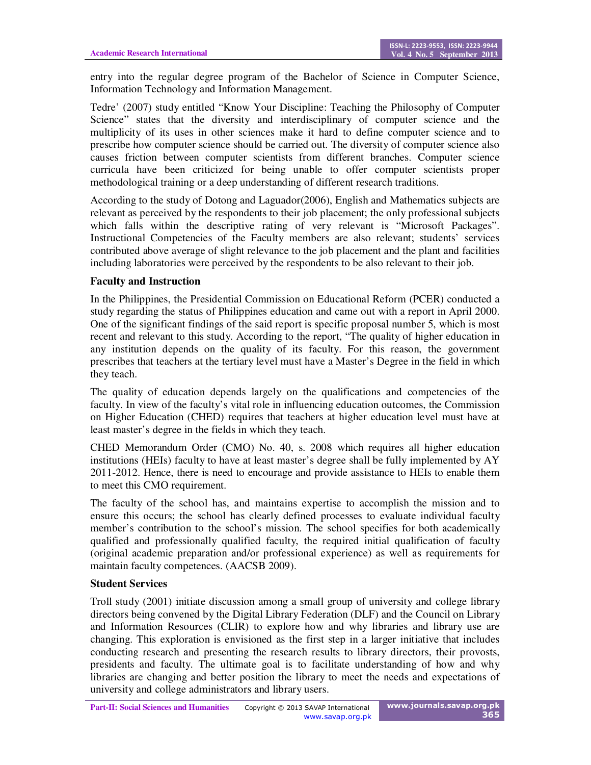entry into the regular degree program of the Bachelor of Science in Computer Science, Information Technology and Information Management.

Tedre' (2007) study entitled "Know Your Discipline: Teaching the Philosophy of Computer Science" states that the diversity and interdisciplinary of computer science and the multiplicity of its uses in other sciences make it hard to define computer science and to prescribe how computer science should be carried out. The diversity of computer science also causes friction between computer scientists from different branches. Computer science curricula have been criticized for being unable to offer computer scientists proper methodological training or a deep understanding of different research traditions.

According to the study of Dotong and Laguador(2006), English and Mathematics subjects are relevant as perceived by the respondents to their job placement; the only professional subjects which falls within the descriptive rating of very relevant is "Microsoft Packages". Instructional Competencies of the Faculty members are also relevant; students' services contributed above average of slight relevance to the job placement and the plant and facilities including laboratories were perceived by the respondents to be also relevant to their job.

### **Faculty and Instruction**

In the Philippines, the Presidential Commission on Educational Reform (PCER) conducted a study regarding the status of Philippines education and came out with a report in April 2000. One of the significant findings of the said report is specific proposal number 5, which is most recent and relevant to this study. According to the report, "The quality of higher education in any institution depends on the quality of its faculty. For this reason, the government prescribes that teachers at the tertiary level must have a Master's Degree in the field in which they teach.

The quality of education depends largely on the qualifications and competencies of the faculty. In view of the faculty's vital role in influencing education outcomes, the Commission on Higher Education (CHED) requires that teachers at higher education level must have at least master's degree in the fields in which they teach.

CHED Memorandum Order (CMO) No. 40, s. 2008 which requires all higher education institutions (HEIs) faculty to have at least master's degree shall be fully implemented by AY 2011-2012. Hence, there is need to encourage and provide assistance to HEIs to enable them to meet this CMO requirement.

The faculty of the school has, and maintains expertise to accomplish the mission and to ensure this occurs; the school has clearly defined processes to evaluate individual faculty member's contribution to the school's mission. The school specifies for both academically qualified and professionally qualified faculty, the required initial qualification of faculty (original academic preparation and/or professional experience) as well as requirements for maintain faculty competences. (AACSB 2009).

### **Student Services**

Troll study (2001) initiate discussion among a small group of university and college library directors being convened by the Digital Library Federation (DLF) and the Council on Library and Information Resources (CLIR) to explore how and why libraries and library use are changing. This exploration is envisioned as the first step in a larger initiative that includes conducting research and presenting the research results to library directors, their provosts, presidents and faculty. The ultimate goal is to facilitate understanding of how and why libraries are changing and better position the library to meet the needs and expectations of university and college administrators and library users.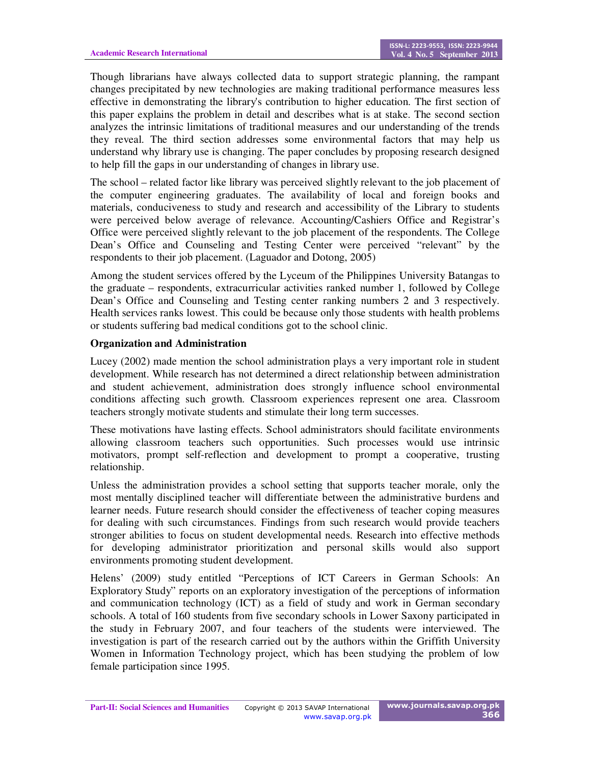Though librarians have always collected data to support strategic planning, the rampant changes precipitated by new technologies are making traditional performance measures less effective in demonstrating the library's contribution to higher education. The first section of this paper explains the problem in detail and describes what is at stake. The second section analyzes the intrinsic limitations of traditional measures and our understanding of the trends they reveal. The third section addresses some environmental factors that may help us understand why library use is changing. The paper concludes by proposing research designed to help fill the gaps in our understanding of changes in library use.

The school – related factor like library was perceived slightly relevant to the job placement of the computer engineering graduates. The availability of local and foreign books and materials, conduciveness to study and research and accessibility of the Library to students were perceived below average of relevance. Accounting/Cashiers Office and Registrar's Office were perceived slightly relevant to the job placement of the respondents. The College Dean's Office and Counseling and Testing Center were perceived "relevant" by the respondents to their job placement. (Laguador and Dotong, 2005)

Among the student services offered by the Lyceum of the Philippines University Batangas to the graduate – respondents, extracurricular activities ranked number 1, followed by College Dean's Office and Counseling and Testing center ranking numbers 2 and 3 respectively. Health services ranks lowest. This could be because only those students with health problems or students suffering bad medical conditions got to the school clinic.

#### **Organization and Administration**

Lucey (2002) made mention the school administration plays a very important role in student development. While research has not determined a direct relationship between administration and student achievement, administration does strongly influence school environmental conditions affecting such growth. Classroom experiences represent one area. Classroom teachers strongly motivate students and stimulate their long term successes.

These motivations have lasting effects. School administrators should facilitate environments allowing classroom teachers such opportunities. Such processes would use intrinsic motivators, prompt self-reflection and development to prompt a cooperative, trusting relationship.

Unless the administration provides a school setting that supports teacher morale, only the most mentally disciplined teacher will differentiate between the administrative burdens and learner needs. Future research should consider the effectiveness of teacher coping measures for dealing with such circumstances. Findings from such research would provide teachers stronger abilities to focus on student developmental needs. Research into effective methods for developing administrator prioritization and personal skills would also support environments promoting student development.

Helens' (2009) study entitled "Perceptions of ICT Careers in German Schools: An Exploratory Study" reports on an exploratory investigation of the perceptions of information and communication technology (ICT) as a field of study and work in German secondary schools. A total of 160 students from five secondary schools in Lower Saxony participated in the study in February 2007, and four teachers of the students were interviewed. The investigation is part of the research carried out by the authors within the Griffith University Women in Information Technology project, which has been studying the problem of low female participation since 1995.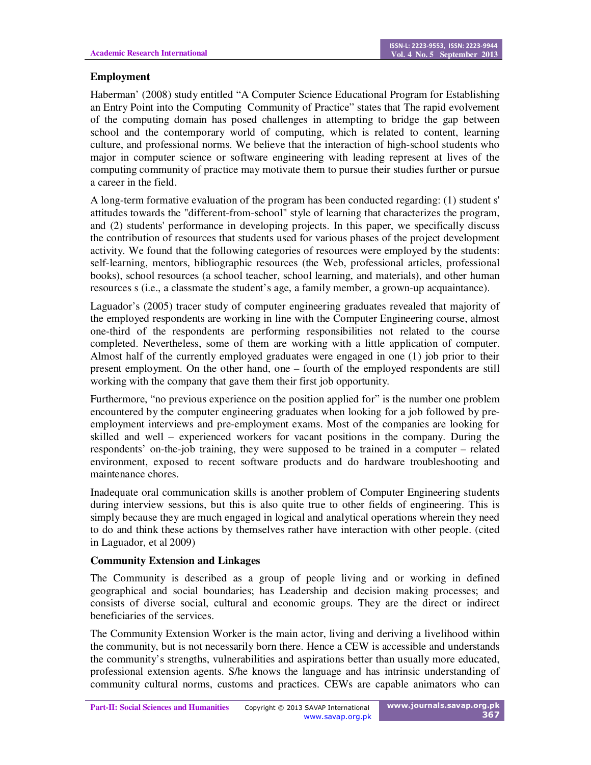## **Employment**

Haberman' (2008) study entitled "A Computer Science Educational Program for Establishing an Entry Point into the Computing Community of Practice" states that The rapid evolvement of the computing domain has posed challenges in attempting to bridge the gap between school and the contemporary world of computing, which is related to content, learning culture, and professional norms. We believe that the interaction of high-school students who major in computer science or software engineering with leading represent at lives of the computing community of practice may motivate them to pursue their studies further or pursue a career in the field.

A long-term formative evaluation of the program has been conducted regarding: (1) student s' attitudes towards the "different-from-school" style of learning that characterizes the program, and (2) students' performance in developing projects. In this paper, we specifically discuss the contribution of resources that students used for various phases of the project development activity. We found that the following categories of resources were employed by the students: self-learning, mentors, bibliographic resources (the Web, professional articles, professional books), school resources (a school teacher, school learning, and materials), and other human resources s (i.e., a classmate the student's age, a family member, a grown-up acquaintance).

Laguador's (2005) tracer study of computer engineering graduates revealed that majority of the employed respondents are working in line with the Computer Engineering course, almost one-third of the respondents are performing responsibilities not related to the course completed. Nevertheless, some of them are working with a little application of computer. Almost half of the currently employed graduates were engaged in one (1) job prior to their present employment. On the other hand, one – fourth of the employed respondents are still working with the company that gave them their first job opportunity.

Furthermore, "no previous experience on the position applied for" is the number one problem encountered by the computer engineering graduates when looking for a job followed by preemployment interviews and pre-employment exams. Most of the companies are looking for skilled and well – experienced workers for vacant positions in the company. During the respondents' on-the-job training, they were supposed to be trained in a computer – related environment, exposed to recent software products and do hardware troubleshooting and maintenance chores.

Inadequate oral communication skills is another problem of Computer Engineering students during interview sessions, but this is also quite true to other fields of engineering. This is simply because they are much engaged in logical and analytical operations wherein they need to do and think these actions by themselves rather have interaction with other people. (cited in Laguador, et al 2009)

### **Community Extension and Linkages**

The Community is described as a group of people living and or working in defined geographical and social boundaries; has Leadership and decision making processes; and consists of diverse social, cultural and economic groups. They are the direct or indirect beneficiaries of the services.

The Community Extension Worker is the main actor, living and deriving a livelihood within the community, but is not necessarily born there. Hence a CEW is accessible and understands the community's strengths, vulnerabilities and aspirations better than usually more educated, professional extension agents. S/he knows the language and has intrinsic understanding of community cultural norms, customs and practices. CEWs are capable animators who can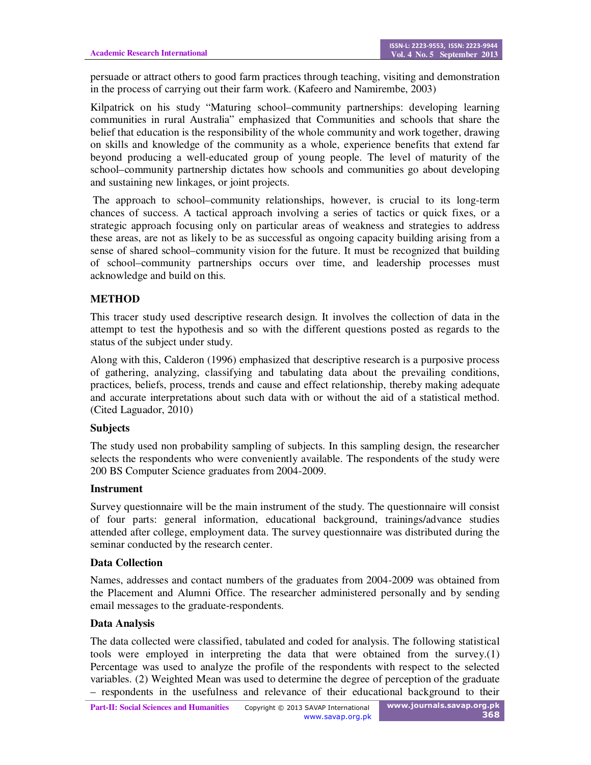persuade or attract others to good farm practices through teaching, visiting and demonstration in the process of carrying out their farm work. (Kafeero and Namirembe, 2003)

Kilpatrick on his study "Maturing school–community partnerships: developing learning communities in rural Australia" emphasized that Communities and schools that share the belief that education is the responsibility of the whole community and work together, drawing on skills and knowledge of the community as a whole, experience benefits that extend far beyond producing a well-educated group of young people. The level of maturity of the school–community partnership dictates how schools and communities go about developing and sustaining new linkages, or joint projects.

 The approach to school–community relationships, however, is crucial to its long-term chances of success. A tactical approach involving a series of tactics or quick fixes, or a strategic approach focusing only on particular areas of weakness and strategies to address these areas, are not as likely to be as successful as ongoing capacity building arising from a sense of shared school–community vision for the future. It must be recognized that building of school–community partnerships occurs over time, and leadership processes must acknowledge and build on this.

## **METHOD**

This tracer study used descriptive research design. It involves the collection of data in the attempt to test the hypothesis and so with the different questions posted as regards to the status of the subject under study.

Along with this, Calderon (1996) emphasized that descriptive research is a purposive process of gathering, analyzing, classifying and tabulating data about the prevailing conditions, practices, beliefs, process, trends and cause and effect relationship, thereby making adequate and accurate interpretations about such data with or without the aid of a statistical method. (Cited Laguador, 2010)

### **Subjects**

The study used non probability sampling of subjects. In this sampling design, the researcher selects the respondents who were conveniently available. The respondents of the study were 200 BS Computer Science graduates from 2004-2009.

#### **Instrument**

Survey questionnaire will be the main instrument of the study. The questionnaire will consist of four parts: general information, educational background, trainings/advance studies attended after college, employment data. The survey questionnaire was distributed during the seminar conducted by the research center.

### **Data Collection**

Names, addresses and contact numbers of the graduates from 2004-2009 was obtained from the Placement and Alumni Office. The researcher administered personally and by sending email messages to the graduate-respondents.

### **Data Analysis**

The data collected were classified, tabulated and coded for analysis. The following statistical tools were employed in interpreting the data that were obtained from the survey.(1) Percentage was used to analyze the profile of the respondents with respect to the selected variables. (2) Weighted Mean was used to determine the degree of perception of the graduate – respondents in the usefulness and relevance of their educational background to their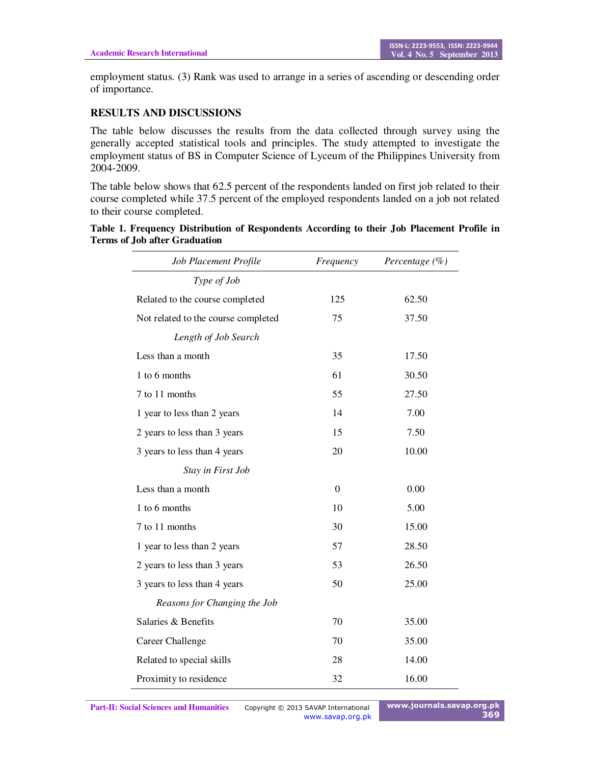employment status. (3) Rank was used to arrange in a series of ascending or descending order of importance.

### **RESULTS AND DISCUSSIONS**

The table below discusses the results from the data collected through survey using the generally accepted statistical tools and principles. The study attempted to investigate the employment status of BS in Computer Science of Lyceum of the Philippines University from 2004-2009.

The table below shows that 62.5 percent of the respondents landed on first job related to their course completed while 37.5 percent of the employed respondents landed on a job not related to their course completed.

| Table 1. Frequency Distribution of Respondents According to their Job Placement Profile in |  |  |  |
|--------------------------------------------------------------------------------------------|--|--|--|
| <b>Terms of Job after Graduation</b>                                                       |  |  |  |

| Job Placement Profile               | Frequency | Percentage $(\% )$ |
|-------------------------------------|-----------|--------------------|
| Type of Job                         |           |                    |
| Related to the course completed     | 125       | 62.50              |
| Not related to the course completed | 75        | 37.50              |
| Length of Job Search                |           |                    |
| Less than a month                   | 35        | 17.50              |
| 1 to 6 months                       | 61        | 30.50              |
| 7 to 11 months                      | 55        | 27.50              |
| 1 year to less than 2 years         | 14        | 7.00               |
| 2 years to less than 3 years        | 15        | 7.50               |
| 3 years to less than 4 years        | 20        | 10.00              |
| Stay in First Job                   |           |                    |
| Less than a month                   | $\Omega$  | 0.00               |
| 1 to 6 months                       | 10        | 5.00               |
| 7 to 11 months                      | 30        | 15.00              |
| 1 year to less than 2 years         | 57        | 28.50              |
| 2 years to less than 3 years        | 53        | 26.50              |
| 3 years to less than 4 years        | 50        | 25.00              |
| Reasons for Changing the Job        |           |                    |
| Salaries & Benefits                 | 70        | 35.00              |
| <b>Career Challenge</b>             | 70        | 35.00              |
| Related to special skills           | 28        | 14.00              |
| Proximity to residence              | 32        | 16.00              |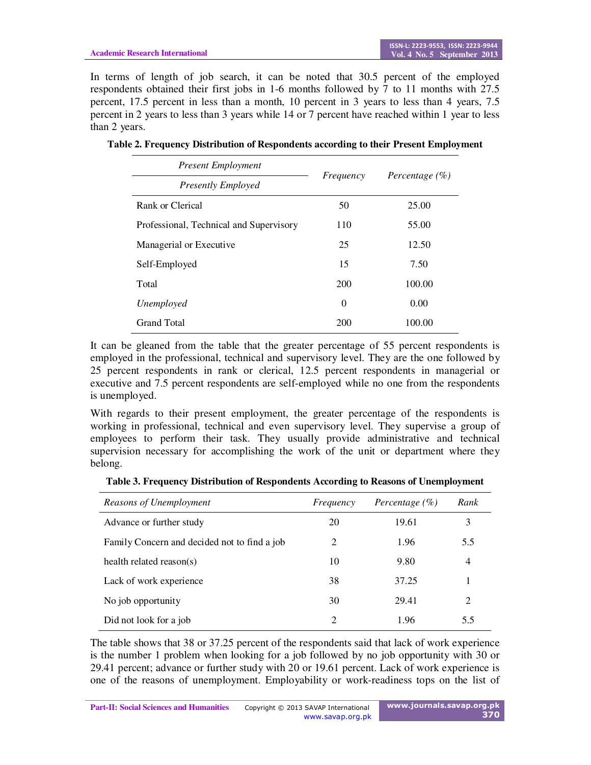In terms of length of job search, it can be noted that 30.5 percent of the employed respondents obtained their first jobs in 1-6 months followed by 7 to 11 months with 27.5 percent, 17.5 percent in less than a month, 10 percent in 3 years to less than 4 years, 7.5 percent in 2 years to less than 3 years while 14 or 7 percent have reached within 1 year to less than 2 years.

| <b>Present Employment</b>               |           |                    |
|-----------------------------------------|-----------|--------------------|
| <b>Presently Employed</b>               | Frequency | Percentage $(\% )$ |
| Rank or Clerical                        | 50        | 25.00              |
| Professional, Technical and Supervisory | 110       | 55.00              |
| Managerial or Executive                 | 25        | 12.50              |
| Self-Employed                           | 15        | 7.50               |
| Total                                   | 200       | 100.00             |
| Unemployed                              | $\theta$  | 0.00               |
| <b>Grand Total</b>                      | 200       | 100.00             |

**Table 2. Frequency Distribution of Respondents according to their Present Employment** 

It can be gleaned from the table that the greater percentage of 55 percent respondents is employed in the professional, technical and supervisory level. They are the one followed by 25 percent respondents in rank or clerical, 12.5 percent respondents in managerial or executive and 7.5 percent respondents are self-employed while no one from the respondents is unemployed.

With regards to their present employment, the greater percentage of the respondents is working in professional, technical and even supervisory level. They supervise a group of employees to perform their task. They usually provide administrative and technical supervision necessary for accomplishing the work of the unit or department where they belong.

**Table 3. Frequency Distribution of Respondents According to Reasons of Unemployment** 

| Reasons of Unemployment                      | Frequency      | Percentage $(\% )$ | Rank |
|----------------------------------------------|----------------|--------------------|------|
| Advance or further study                     | 20             | 19.61              | 3    |
| Family Concern and decided not to find a job | 2              | 1.96               | 5.5  |
| health related reason(s)                     | 10             | 9.80               | 4    |
| Lack of work experience                      | 38             | 37.25              |      |
| No job opportunity                           | 30             | 29.41              | 2    |
| Did not look for a job                       | $\overline{c}$ | 1.96               | 5.5  |

The table shows that 38 or 37.25 percent of the respondents said that lack of work experience is the number 1 problem when looking for a job followed by no job opportunity with 30 or 29.41 percent; advance or further study with 20 or 19.61 percent. Lack of work experience is one of the reasons of unemployment. Employability or work-readiness tops on the list of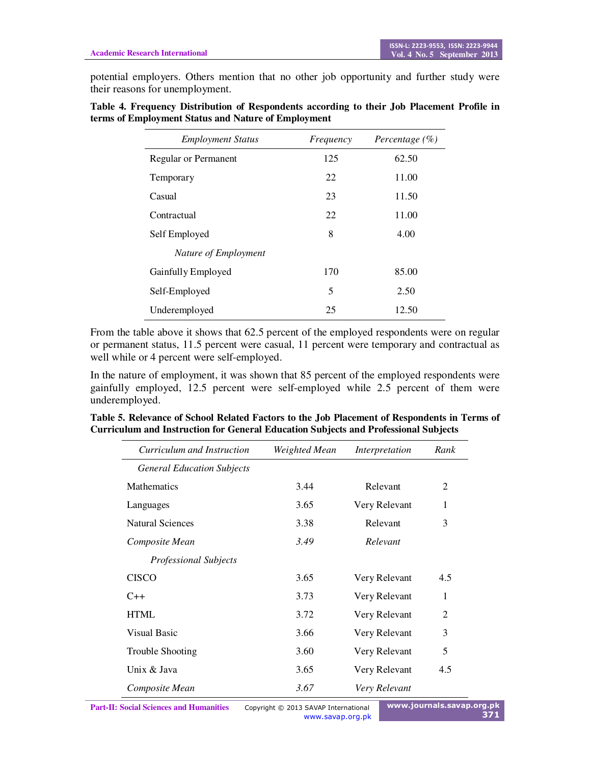potential employers. Others mention that no other job opportunity and further study were their reasons for unemployment.

| Table 4. Frequency Distribution of Respondents according to their Job Placement Profile in |  |  |  |
|--------------------------------------------------------------------------------------------|--|--|--|
| terms of Employment Status and Nature of Employment                                        |  |  |  |

| <b>Employment Status</b>    | Frequency | Percentage $(\% )$ |
|-----------------------------|-----------|--------------------|
| <b>Regular or Permanent</b> | 125       | 62.50              |
| Temporary                   | 22        | 11.00              |
| Casual                      | 23        | 11.50              |
| Contractual                 | 22        | 11.00              |
| Self Employed               | 8         | 4.00               |
| Nature of Employment        |           |                    |
| Gainfully Employed          | 170       | 85.00              |
| Self-Employed               | 5         | 2.50               |
| Underemployed               | 25        | 12.50              |

From the table above it shows that 62.5 percent of the employed respondents were on regular or permanent status, 11.5 percent were casual, 11 percent were temporary and contractual as well while or 4 percent were self-employed.

In the nature of employment, it was shown that 85 percent of the employed respondents were gainfully employed, 12.5 percent were self-employed while 2.5 percent of them were underemployed.

| Curriculum and Instruction        | Weighted Mean | Interpretation | Rank           |
|-----------------------------------|---------------|----------------|----------------|
| <b>General Education Subjects</b> |               |                |                |
| <b>Mathematics</b>                | 3.44          | Relevant       | $\overline{2}$ |
| Languages                         | 3.65          | Very Relevant  | 1              |
| <b>Natural Sciences</b>           | 3.38          | Relevant       | 3              |
| Composite Mean                    | 3.49          | Relevant       |                |
| <b>Professional Subjects</b>      |               |                |                |
| <b>CISCO</b>                      | 3.65          | Very Relevant  | 4.5            |
| $C++$                             | 3.73          | Very Relevant  | 1              |
| <b>HTML</b>                       | 3.72          | Very Relevant  | $\mathfrak{D}$ |
| <b>Visual Basic</b>               | 3.66          | Very Relevant  | 3              |
| Trouble Shooting                  | 3.60          | Very Relevant  | 5              |
| Unix & Java                       | 3.65          | Very Relevant  | 4.5            |
| Composite Mean                    | 3.67          | Very Relevant  |                |

| Table 5. Relevance of School Related Factors to the Job Placement of Respondents in Terms of |  |
|----------------------------------------------------------------------------------------------|--|
| <b>Curriculum and Instruction for General Education Subjects and Professional Subjects</b>   |  |

www.savap.org.pk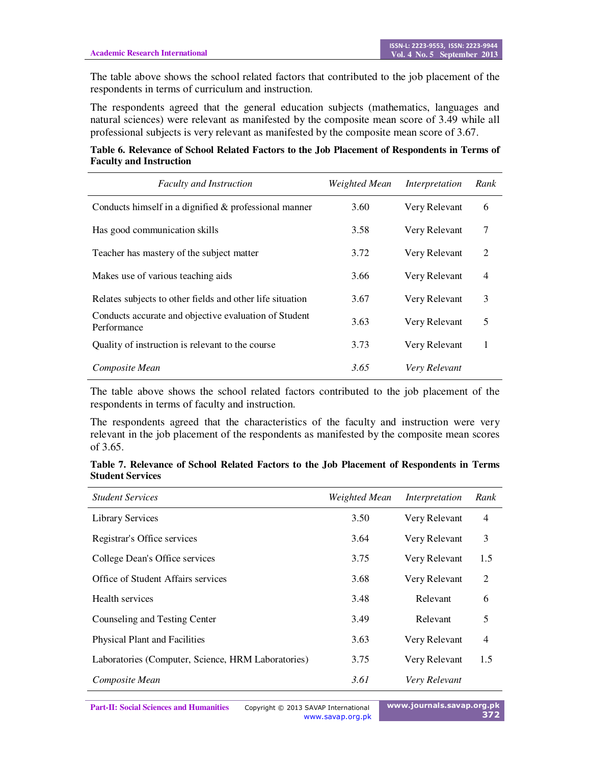The table above shows the school related factors that contributed to the job placement of the respondents in terms of curriculum and instruction.

The respondents agreed that the general education subjects (mathematics, languages and natural sciences) were relevant as manifested by the composite mean score of 3.49 while all professional subjects is very relevant as manifested by the composite mean score of 3.67.

**Table 6. Relevance of School Related Factors to the Job Placement of Respondents in Terms of Faculty and Instruction** 

| <b>Faculty and Instruction</b>                                       | Weighted Mean | Interpretation | Rank           |
|----------------------------------------------------------------------|---------------|----------------|----------------|
| Conducts himself in a dignified $\&$ professional manner             | 3.60          | Very Relevant  | 6              |
| Has good communication skills                                        | 3.58          | Very Relevant  | 7              |
| Teacher has mastery of the subject matter                            | 3.72          | Very Relevant  | 2              |
| Makes use of various teaching aids                                   | 3.66          | Very Relevant  | $\overline{4}$ |
| Relates subjects to other fields and other life situation            | 3.67          | Very Relevant  | 3              |
| Conducts accurate and objective evaluation of Student<br>Performance | 3.63          | Very Relevant  | 5              |
| Quality of instruction is relevant to the course                     | 3.73          | Very Relevant  |                |
| Composite Mean                                                       | 3.65          | Very Relevant  |                |

The table above shows the school related factors contributed to the job placement of the respondents in terms of faculty and instruction.

The respondents agreed that the characteristics of the faculty and instruction were very relevant in the job placement of the respondents as manifested by the composite mean scores of 3.65.

| Table 7. Relevance of School Related Factors to the Job Placement of Respondents in Terms |  |  |  |  |  |
|-------------------------------------------------------------------------------------------|--|--|--|--|--|
| <b>Student Services</b>                                                                   |  |  |  |  |  |

| <b>Student Services</b>                            | Weighted Mean | Interpretation | Rank           |
|----------------------------------------------------|---------------|----------------|----------------|
| <b>Library Services</b>                            | 3.50          | Very Relevant  | $\overline{4}$ |
| Registrar's Office services                        | 3.64          | Very Relevant  | 3              |
| College Dean's Office services                     | 3.75          | Very Relevant  | 1.5            |
| Office of Student Affairs services                 | 3.68          | Very Relevant  | 2              |
| Health services                                    | 3.48          | Relevant       | 6              |
| Counseling and Testing Center                      | 3.49          | Relevant       | 5              |
| <b>Physical Plant and Facilities</b>               | 3.63          | Very Relevant  | $\overline{4}$ |
| Laboratories (Computer, Science, HRM Laboratories) | 3.75          | Very Relevant  | 1.5            |
| Composite Mean                                     | 3.61          | Very Relevant  |                |

Part-II: Social Sciences and Humanities Copyright © 2013 SAVAP International www.savap.org.pk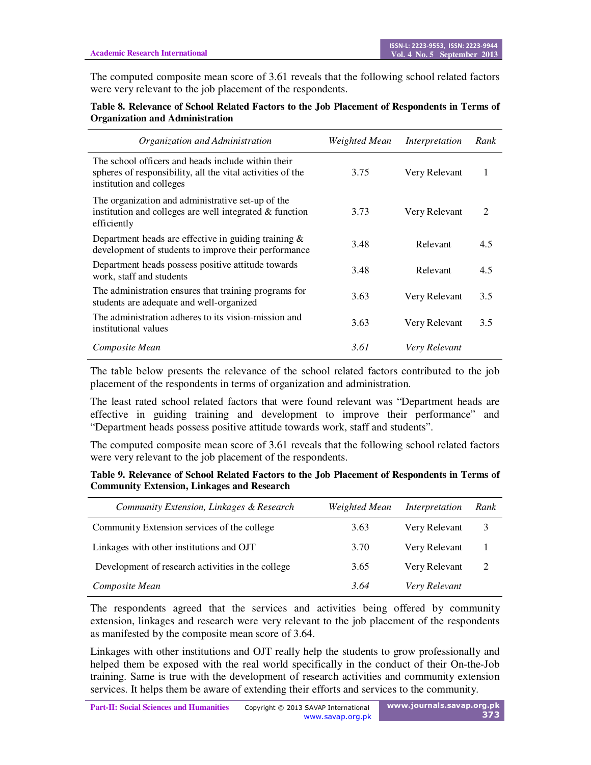The computed composite mean score of 3.61 reveals that the following school related factors were very relevant to the job placement of the respondents.

#### **Table 8. Relevance of School Related Factors to the Job Placement of Respondents in Terms of Organization and Administration**

| Organization and Administration                                                                                                              | Weighted Mean | Interpretation | Rank |
|----------------------------------------------------------------------------------------------------------------------------------------------|---------------|----------------|------|
| The school officers and heads include within their<br>spheres of responsibility, all the vital activities of the<br>institution and colleges | 3.75          | Very Relevant  |      |
| The organization and administrative set-up of the<br>institution and colleges are well integrated $&$ function<br>efficiently                | 3.73          | Very Relevant  | 2    |
| Department heads are effective in guiding training $\&$<br>development of students to improve their performance                              | 3.48          | Relevant       | 4.5  |
| Department heads possess positive attitude towards<br>work, staff and students                                                               | 3.48          | Relevant       | 4.5  |
| The administration ensures that training programs for<br>students are adequate and well-organized                                            | 3.63          | Very Relevant  | 3.5  |
| The administration adheres to its vision-mission and<br>institutional values                                                                 | 3.63          | Very Relevant  | 3.5  |
| Composite Mean                                                                                                                               | 3.61          | Very Relevant  |      |

The table below presents the relevance of the school related factors contributed to the job placement of the respondents in terms of organization and administration.

The least rated school related factors that were found relevant was "Department heads are effective in guiding training and development to improve their performance" and "Department heads possess positive attitude towards work, staff and students".

The computed composite mean score of 3.61 reveals that the following school related factors were very relevant to the job placement of the respondents.

| Table 9. Relevance of School Related Factors to the Job Placement of Respondents in Terms of |  |
|----------------------------------------------------------------------------------------------|--|
| <b>Community Extension, Linkages and Research</b>                                            |  |

| Community Extension, Linkages & Research          | Weighted Mean | Interpretation | Rank |
|---------------------------------------------------|---------------|----------------|------|
| Community Extension services of the college       | 3.63          | Very Relevant  | 3    |
| Linkages with other institutions and OJT          | 3.70          | Very Relevant  | 1    |
| Development of research activities in the college | 3.65          | Very Relevant  | 2    |
| Composite Mean                                    | 3.64          | Very Relevant  |      |

The respondents agreed that the services and activities being offered by community extension, linkages and research were very relevant to the job placement of the respondents as manifested by the composite mean score of 3.64.

Linkages with other institutions and OJT really help the students to grow professionally and helped them be exposed with the real world specifically in the conduct of their On-the-Job training. Same is true with the development of research activities and community extension services. It helps them be aware of extending their efforts and services to the community.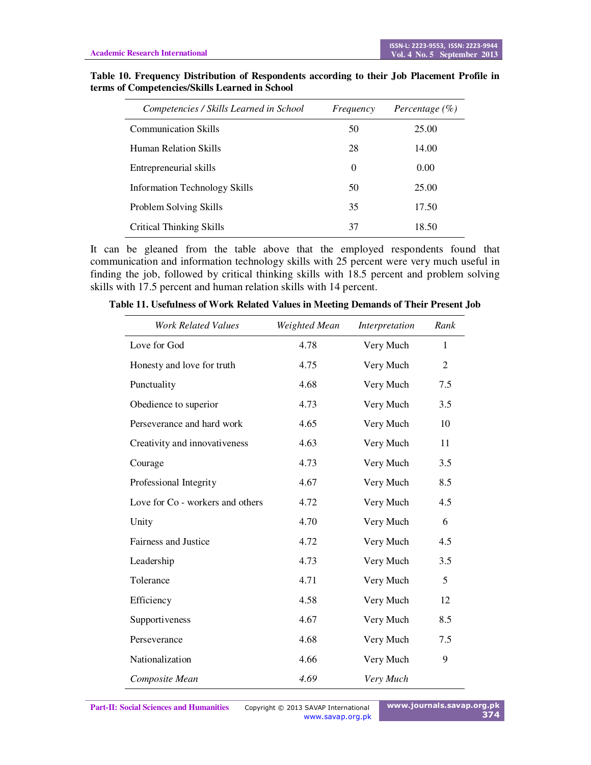| Competencies / Skills Learned in School | Frequency | Percentage $(\% )$ |
|-----------------------------------------|-----------|--------------------|
| <b>Communication Skills</b>             | 50        | 25.00              |
| Human Relation Skills                   | 28        | 14.00              |
| Entrepreneurial skills                  | 0         | 0.00               |
| Information Technology Skills           | 50        | 25.00              |
| Problem Solving Skills                  | 35        | 17.50              |
| Critical Thinking Skills                | 37        | 18.50              |

**Table 10. Frequency Distribution of Respondents according to their Job Placement Profile in terms of Competencies/Skills Learned in School** 

It can be gleaned from the table above that the employed respondents found that communication and information technology skills with 25 percent were very much useful in finding the job, followed by critical thinking skills with 18.5 percent and problem solving skills with 17.5 percent and human relation skills with 14 percent.

| <b>Work Related Values</b>       | Weighted Mean | Interpretation | Rank           |
|----------------------------------|---------------|----------------|----------------|
| Love for God                     | 4.78          | Very Much      | 1              |
| Honesty and love for truth       | 4.75          | Very Much      | $\overline{2}$ |
| Punctuality                      | 4.68          | Very Much      | 7.5            |
| Obedience to superior            | 4.73          | Very Much      | 3.5            |
| Perseverance and hard work       | 4.65          | Very Much      | 10             |
| Creativity and innovativeness    | 4.63          | Very Much      | 11             |
| Courage                          | 4.73          | Very Much      | 3.5            |
| Professional Integrity           | 4.67          | Very Much      | 8.5            |
| Love for Co - workers and others | 4.72          | Very Much      | 4.5            |
| Unity                            | 4.70          | Very Much      | 6              |
| <b>Fairness and Justice</b>      | 4.72          | Very Much      | 4.5            |
| Leadership                       | 4.73          | Very Much      | 3.5            |
| Tolerance                        | 4.71          | Very Much      | 5              |
| Efficiency                       | 4.58          | Very Much      | 12             |
| Supportiveness                   | 4.67          | Very Much      | 8.5            |
| Perseverance                     | 4.68          | Very Much      | 7.5            |
| Nationalization                  | 4.66          | Very Much      | 9              |
| Composite Mean                   | 4.69          | Very Much      |                |

**Table 11. Usefulness of Work Related Values in Meeting Demands of Their Present Job** 

**Part-II: Social Sciences and Humanities** Copyright © 2013 SAVAP International

www.savap.org.pk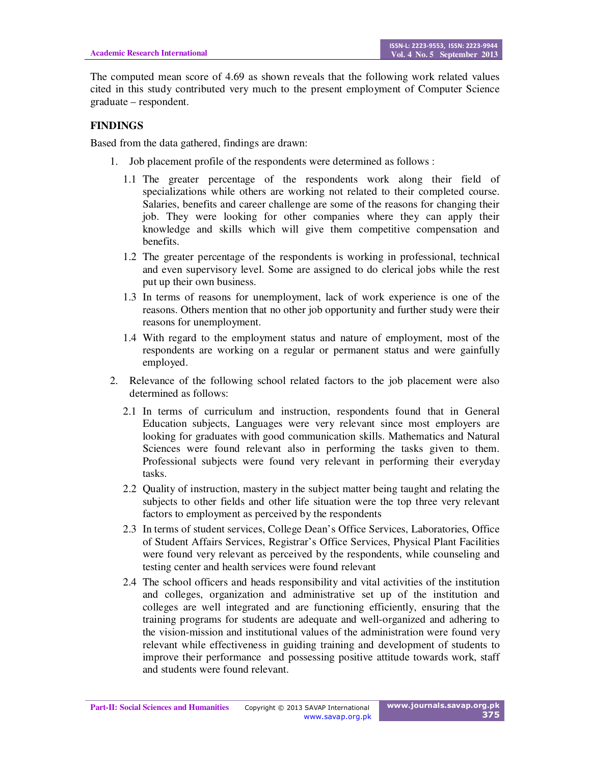The computed mean score of 4.69 as shown reveals that the following work related values cited in this study contributed very much to the present employment of Computer Science graduate – respondent.

## **FINDINGS**

Based from the data gathered, findings are drawn:

- 1. Job placement profile of the respondents were determined as follows :
	- 1.1 The greater percentage of the respondents work along their field of specializations while others are working not related to their completed course. Salaries, benefits and career challenge are some of the reasons for changing their job. They were looking for other companies where they can apply their knowledge and skills which will give them competitive compensation and benefits.
	- 1.2 The greater percentage of the respondents is working in professional, technical and even supervisory level. Some are assigned to do clerical jobs while the rest put up their own business.
	- 1.3 In terms of reasons for unemployment, lack of work experience is one of the reasons. Others mention that no other job opportunity and further study were their reasons for unemployment.
	- 1.4 With regard to the employment status and nature of employment, most of the respondents are working on a regular or permanent status and were gainfully employed.
- 2. Relevance of the following school related factors to the job placement were also determined as follows:
	- 2.1 In terms of curriculum and instruction, respondents found that in General Education subjects, Languages were very relevant since most employers are looking for graduates with good communication skills. Mathematics and Natural Sciences were found relevant also in performing the tasks given to them. Professional subjects were found very relevant in performing their everyday tasks.
	- 2.2 Quality of instruction, mastery in the subject matter being taught and relating the subjects to other fields and other life situation were the top three very relevant factors to employment as perceived by the respondents
	- 2.3 In terms of student services, College Dean's Office Services, Laboratories, Office of Student Affairs Services, Registrar's Office Services, Physical Plant Facilities were found very relevant as perceived by the respondents, while counseling and testing center and health services were found relevant
	- 2.4 The school officers and heads responsibility and vital activities of the institution and colleges, organization and administrative set up of the institution and colleges are well integrated and are functioning efficiently, ensuring that the training programs for students are adequate and well-organized and adhering to the vision-mission and institutional values of the administration were found very relevant while effectiveness in guiding training and development of students to improve their performance and possessing positive attitude towards work, staff and students were found relevant.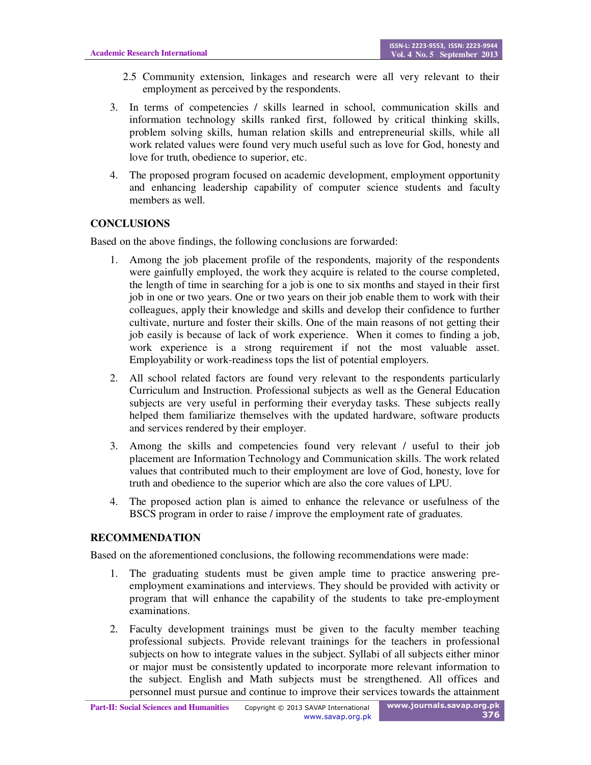- 2.5 Community extension, linkages and research were all very relevant to their employment as perceived by the respondents.
- 3. In terms of competencies / skills learned in school, communication skills and information technology skills ranked first, followed by critical thinking skills, problem solving skills, human relation skills and entrepreneurial skills, while all work related values were found very much useful such as love for God, honesty and love for truth, obedience to superior, etc.
- 4. The proposed program focused on academic development, employment opportunity and enhancing leadership capability of computer science students and faculty members as well.

## **CONCLUSIONS**

Based on the above findings, the following conclusions are forwarded:

- 1. Among the job placement profile of the respondents, majority of the respondents were gainfully employed, the work they acquire is related to the course completed, the length of time in searching for a job is one to six months and stayed in their first job in one or two years. One or two years on their job enable them to work with their colleagues, apply their knowledge and skills and develop their confidence to further cultivate, nurture and foster their skills. One of the main reasons of not getting their job easily is because of lack of work experience. When it comes to finding a job, work experience is a strong requirement if not the most valuable asset. Employability or work-readiness tops the list of potential employers.
- 2. All school related factors are found very relevant to the respondents particularly Curriculum and Instruction. Professional subjects as well as the General Education subjects are very useful in performing their everyday tasks. These subjects really helped them familiarize themselves with the updated hardware, software products and services rendered by their employer.
- 3. Among the skills and competencies found very relevant / useful to their job placement are Information Technology and Communication skills. The work related values that contributed much to their employment are love of God, honesty, love for truth and obedience to the superior which are also the core values of LPU.
- 4. The proposed action plan is aimed to enhance the relevance or usefulness of the BSCS program in order to raise / improve the employment rate of graduates.

### **RECOMMENDATION**

Based on the aforementioned conclusions, the following recommendations were made:

- 1. The graduating students must be given ample time to practice answering preemployment examinations and interviews. They should be provided with activity or program that will enhance the capability of the students to take pre-employment examinations.
- 2. Faculty development trainings must be given to the faculty member teaching professional subjects. Provide relevant trainings for the teachers in professional subjects on how to integrate values in the subject. Syllabi of all subjects either minor or major must be consistently updated to incorporate more relevant information to the subject. English and Math subjects must be strengthened. All offices and personnel must pursue and continue to improve their services towards the attainment